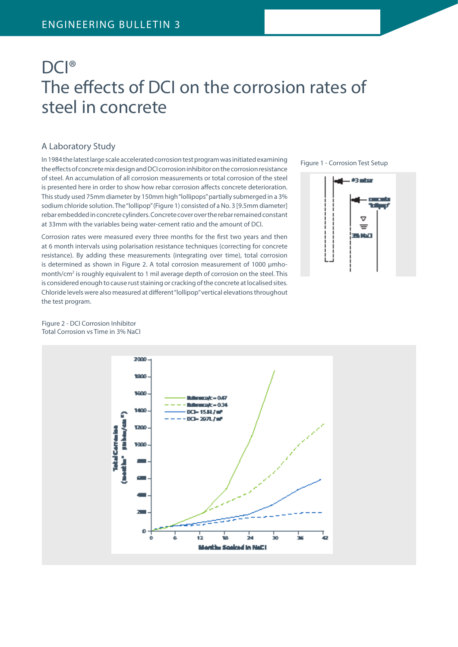# DCI® The effects of DCI on the corrosion rates of steel in concrete

### A Laboratory Study

In 1984 the latest large scale accelerated corrosion test program was initiated examining the effects of concrete mix design and DCI corrosion inhibitor on the corrosion resistance of steel. An accumulation of all corrosion measurements or total corrosion of the steel is presented here in order to show how rebar corrosion affects concrete deterioration. This study used 75mm diameter by 150mm high "lollipops" partially submerged in a 3% sodium chloride solution. The "lollipop" (Figure 1) consisted of a No. 3 [9.5mm diameter] rebar embedded in concrete cylinders. Concrete cover over the rebar remained constant at 33mm with the variables being water-cement ratio and the amount of DCI.

Corrosion rates were measured every three months for the first two years and then at 6 month intervals using polarisation resistance techniques (correcting for concrete resistance). By adding these measurements (integrating over time), total corrosion is determined as shown in Figure 2. A total corrosion measurement of 1000 μmhomonth/cm<sup>2</sup> is roughly equivalent to 1 mil average depth of corrosion on the steel. This is considered enough to cause rust staining or cracking of the concrete at localised sites. Chloride levels were also measured at different "lollipop" vertical elevations throughout the test program.

Figure 1 - Corrosion Test Setup



#### Figure 2 - DCI Corrosion Inhibitor Total Corrosion vs Time in 3% NaCI